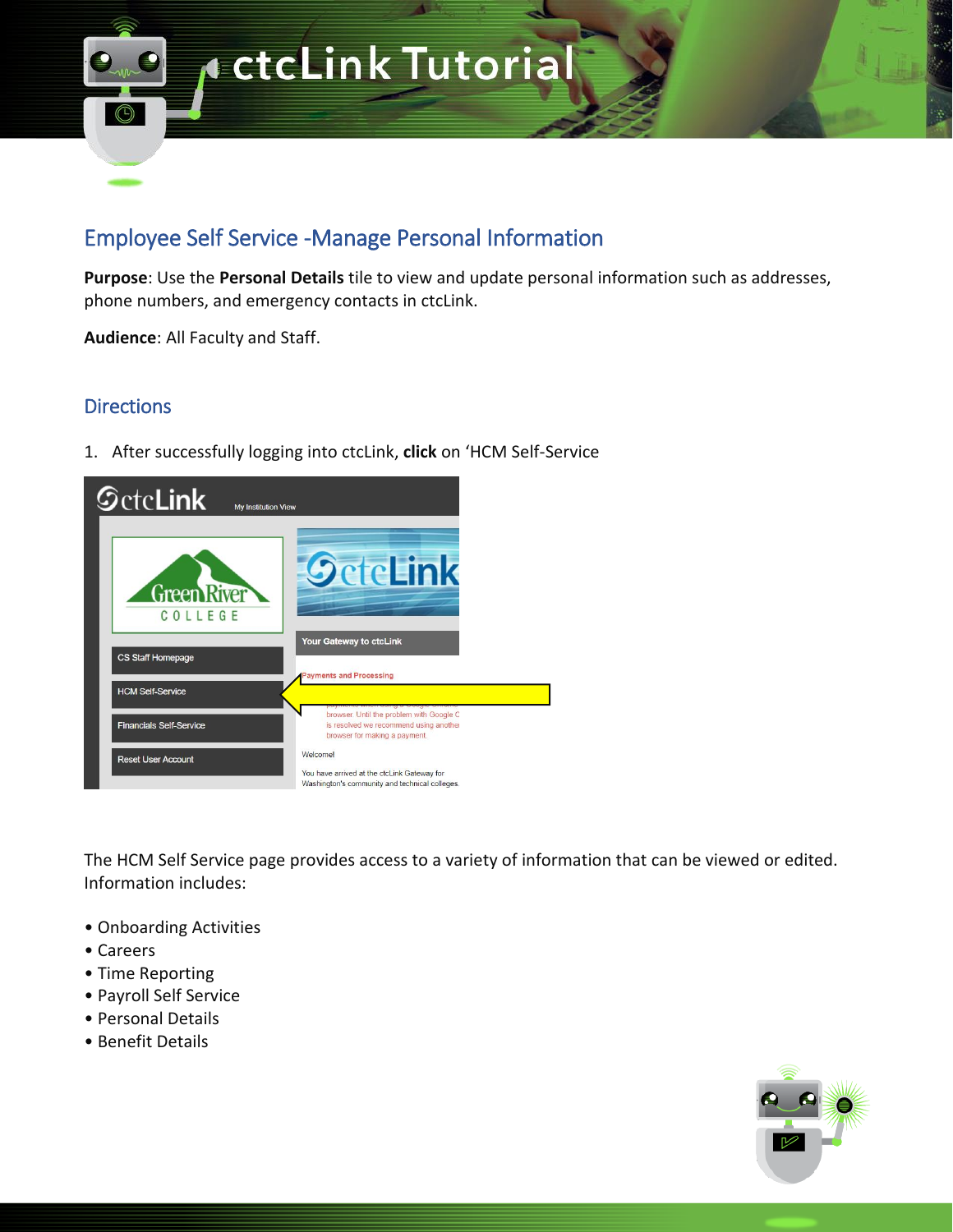

# Employee Self Service -Manage Personal Information

**Purpose**: Use the **Personal Details** tile to view and update personal information such as addresses, phone numbers, and emergency contacts in ctcLink.

**Audience**: All Faculty and Staff.

# **Directions**

1. After successfully logging into ctcLink, **click** on 'HCM Self-Service



The HCM Self Service page provides access to a variety of information that can be viewed or edited. Information includes:

- Onboarding Activities
- Careers
- Time Reporting
- Payroll Self Service
- Personal Details
- Benefit Details

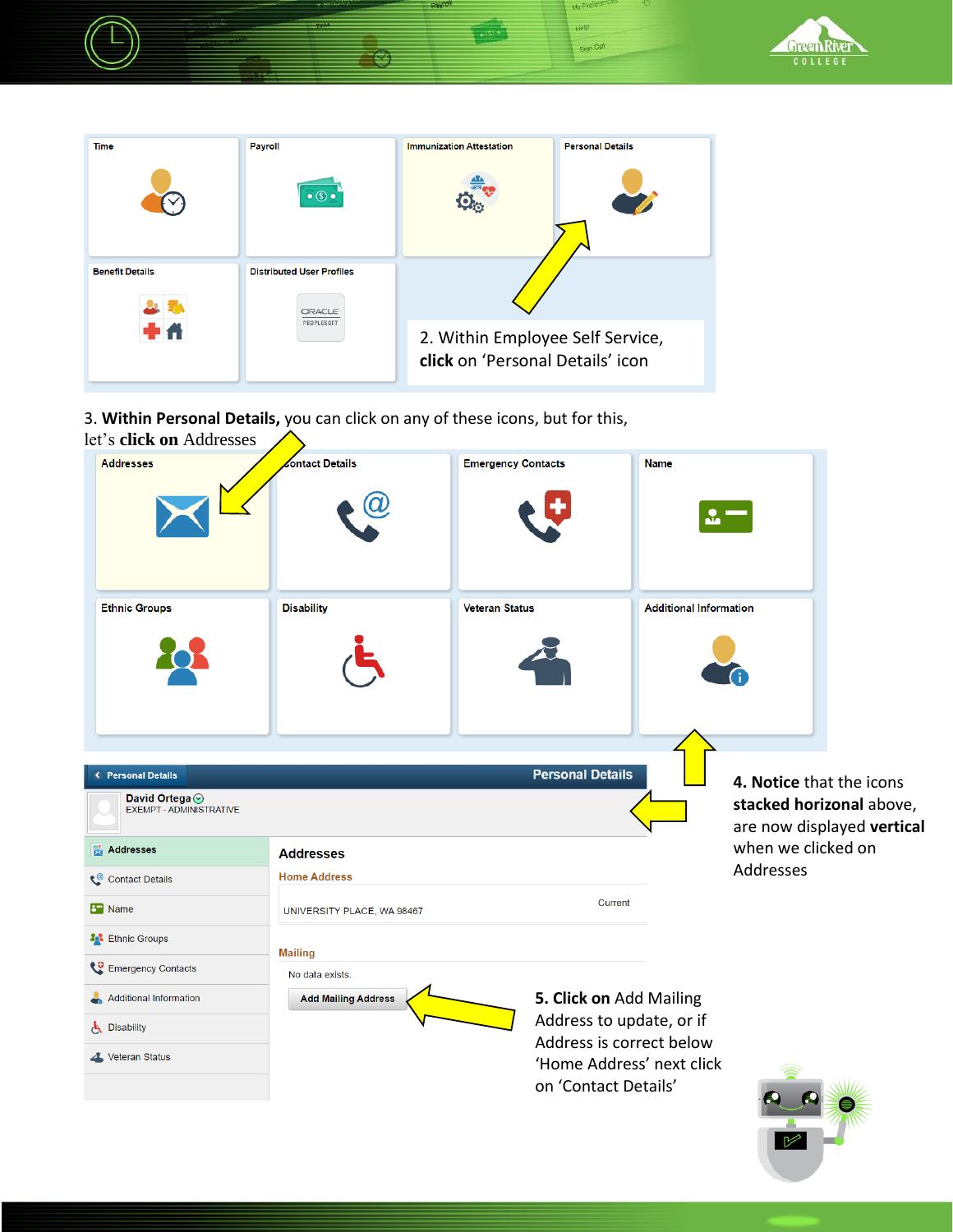

| <b>Time</b>            | <b>Payroll</b><br>$\bullet$ $\circ$                      | <b>Immunization Attestation</b>                                      | <b>Personal Details</b> |
|------------------------|----------------------------------------------------------|----------------------------------------------------------------------|-------------------------|
| <b>Benefit Details</b> | <b>Distributed User Profiles</b><br>ORACLE<br>PEOPLESOFT | 2. Within Employee Self Service,<br>click on 'Personal Details' icon |                         |

ote F Help sign Owl

3. **Within Personal Details,** you can click on any of these icons, but for this,

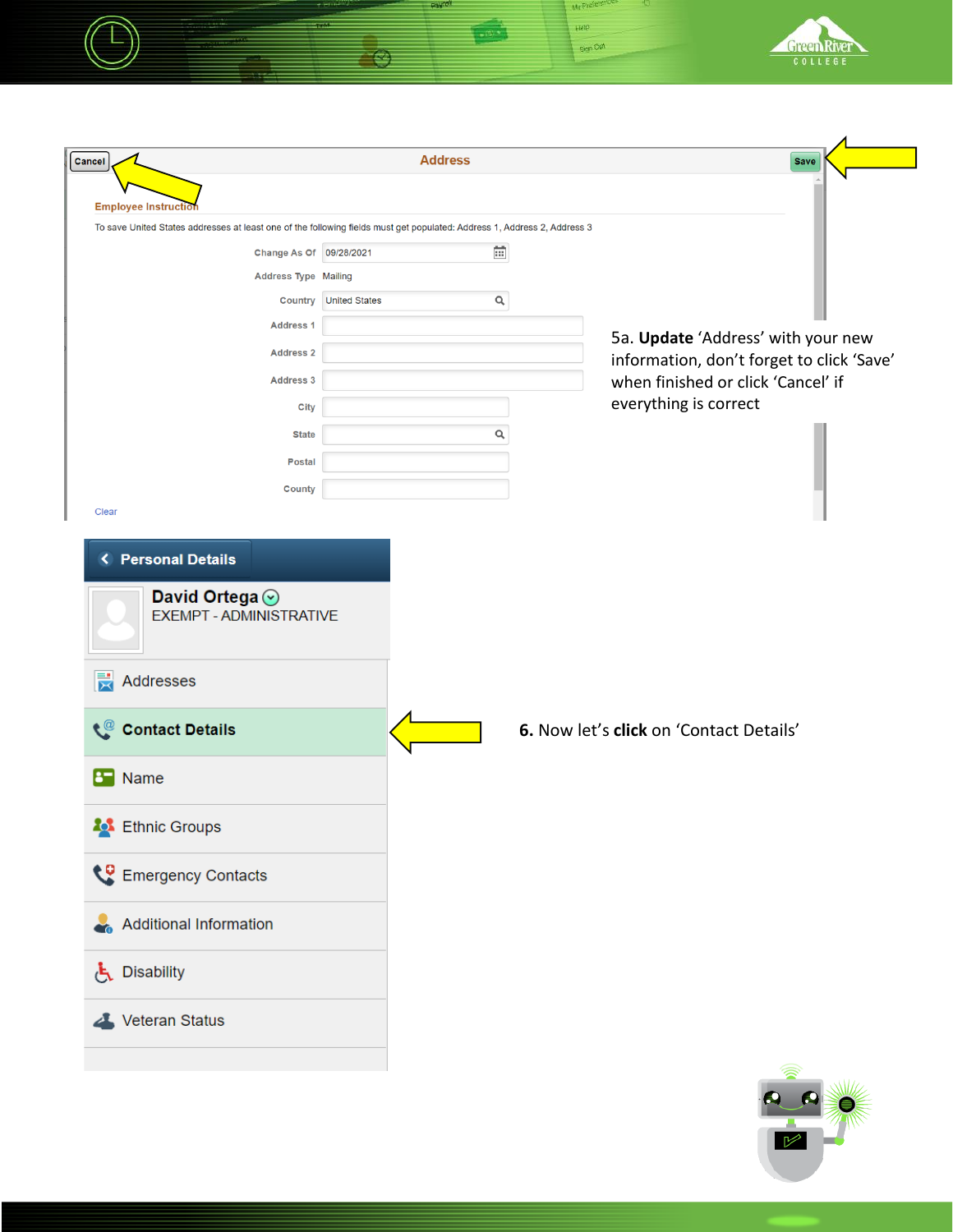

| Cancel                                                                                                                                                  | <b>Address</b>            | <b>Save</b>                               |
|---------------------------------------------------------------------------------------------------------------------------------------------------------|---------------------------|-------------------------------------------|
|                                                                                                                                                         |                           |                                           |
| <b>Employee Instruction</b><br>To save United States addresses at least one of the following fields must get populated: Address 1, Address 2, Address 3 |                           |                                           |
| Change As Of 09/28/2021                                                                                                                                 | 節                         |                                           |
| <b>Address Type Mailing</b>                                                                                                                             |                           |                                           |
| <b>Country</b>                                                                                                                                          | Q<br><b>United States</b> |                                           |
| <b>Address 1</b>                                                                                                                                        |                           |                                           |
|                                                                                                                                                         |                           | 5a. Update 'Address' with your new        |
| <b>Address 2</b>                                                                                                                                        |                           | information, don't forget to click 'Save' |
| <b>Address 3</b>                                                                                                                                        |                           | when finished or click 'Cancel' if        |
| <b>City</b>                                                                                                                                             |                           | everything is correct                     |
| <b>State</b>                                                                                                                                            | Q                         |                                           |
| <b>Postal</b>                                                                                                                                           |                           |                                           |
| <b>County</b>                                                                                                                                           |                           |                                           |
| Clear                                                                                                                                                   |                           |                                           |
|                                                                                                                                                         |                           |                                           |
| <b>Personal Details</b><br>≺                                                                                                                            |                           |                                           |
| David Ortega ⊙                                                                                                                                          |                           |                                           |
| <b>EXEMPT - ADMINISTRATIVE</b>                                                                                                                          |                           |                                           |
|                                                                                                                                                         |                           |                                           |
|                                                                                                                                                         |                           |                                           |
| 罠<br>Addresses                                                                                                                                          |                           |                                           |
|                                                                                                                                                         |                           |                                           |
| $\mathfrak{e}^{\omega}$<br><b>Contact Details</b>                                                                                                       |                           | 6. Now let's click on 'Contact Details'   |
|                                                                                                                                                         |                           |                                           |
| Name<br>87                                                                                                                                              |                           |                                           |
|                                                                                                                                                         |                           |                                           |
| <b>20</b> Ethnic Groups                                                                                                                                 |                           |                                           |
|                                                                                                                                                         |                           |                                           |
| Emergency Contacts                                                                                                                                      |                           |                                           |
|                                                                                                                                                         |                           |                                           |
| Additional Information                                                                                                                                  |                           |                                           |
|                                                                                                                                                         |                           |                                           |
| <b>L</b> Disability                                                                                                                                     |                           |                                           |
|                                                                                                                                                         |                           |                                           |
| Veteran Status                                                                                                                                          |                           |                                           |
|                                                                                                                                                         |                           |                                           |
|                                                                                                                                                         |                           |                                           |
|                                                                                                                                                         |                           |                                           |
|                                                                                                                                                         |                           |                                           |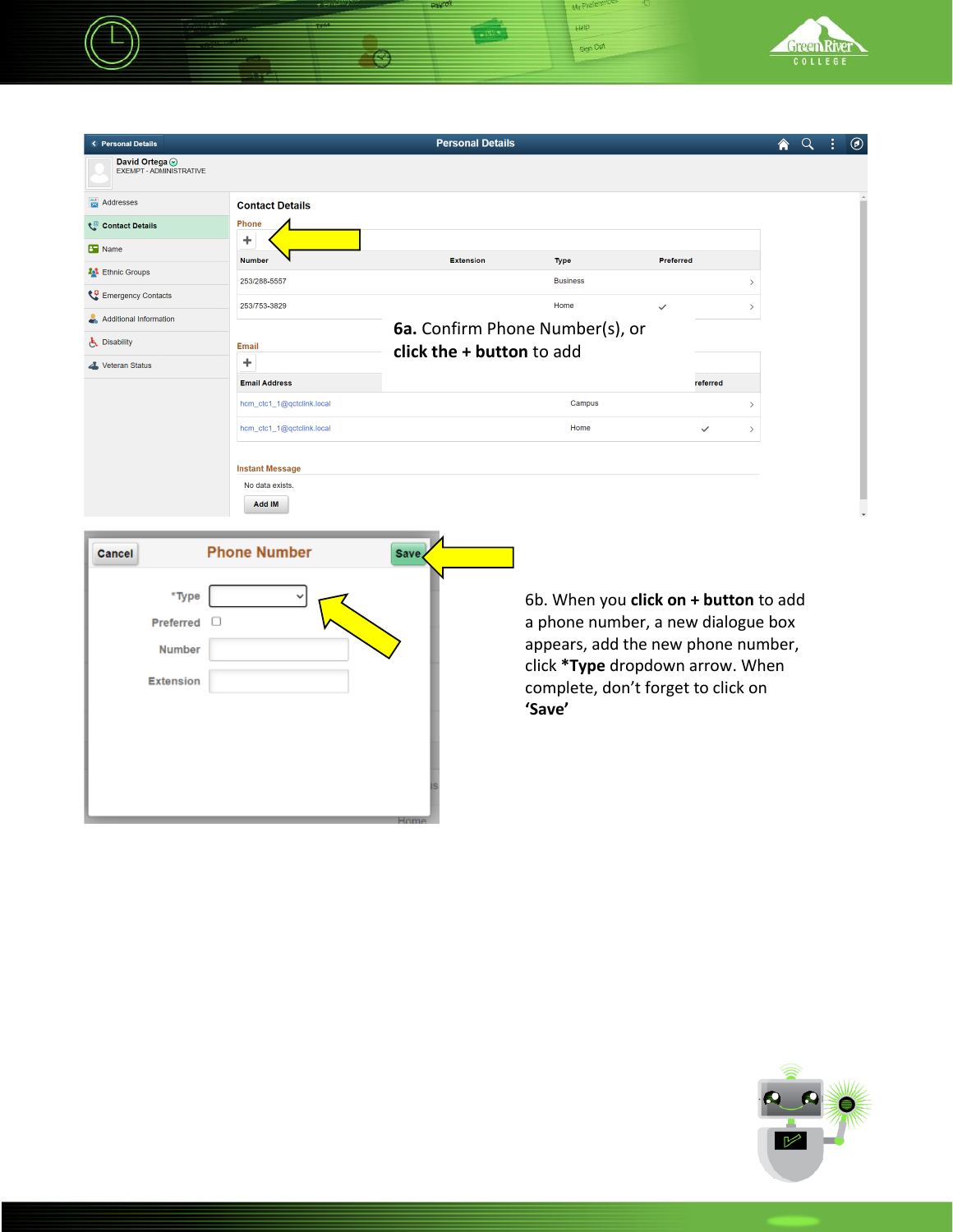

| <b>K</b> Personal Details                 |                           | <b>Personal Details</b>         |                                            |                  |              | 侖             | Q | ÷ | $\circledcirc$ |
|-------------------------------------------|---------------------------|---------------------------------|--------------------------------------------|------------------|--------------|---------------|---|---|----------------|
| David Ortega <<br>EXEMPT - ADMINISTRATIVE |                           |                                 |                                            |                  |              |               |   |   |                |
| Addresses                                 | <b>Contact Details</b>    |                                 |                                            |                  |              |               |   |   |                |
| Contact Details                           | <b>Phone</b>              |                                 |                                            |                  |              |               |   |   |                |
| <b>B</b> Name                             | ÷                         |                                 |                                            |                  |              |               |   |   |                |
| <b>20</b> Ethnic Groups                   | <b>Number</b>             | <b>Extension</b>                | Type                                       | <b>Preferred</b> |              |               |   |   |                |
|                                           | 253/288-5557              |                                 | <b>Business</b>                            |                  |              | $\rightarrow$ |   |   |                |
| Emergency Contacts                        | 253/753-3829              |                                 | Home                                       | $\checkmark$     |              | $\rightarrow$ |   |   |                |
| Additional Information                    |                           | 6a. Confirm Phone Number(s), or |                                            |                  |              |               |   |   |                |
| <b>と</b> Disability                       | <b>Email</b>              | click the + button to add       |                                            |                  |              |               |   |   |                |
| Veteran Status                            | ÷                         |                                 |                                            |                  |              |               |   |   |                |
|                                           | <b>Email Address</b>      |                                 |                                            |                  | referred     |               |   |   |                |
|                                           | hcm_ctc1_1@qctclink.local |                                 | Campus                                     |                  |              | $\rightarrow$ |   |   |                |
|                                           | hcm_ctc1_1@qctclink.local |                                 | Home                                       |                  | $\checkmark$ | $\rightarrow$ |   |   |                |
|                                           | <b>Instant Message</b>    |                                 |                                            |                  |              |               |   |   |                |
|                                           | No data exists.           |                                 |                                            |                  |              |               |   |   |                |
|                                           | Add IM                    |                                 |                                            |                  |              |               |   |   |                |
|                                           |                           |                                 |                                            |                  |              |               |   |   |                |
| Cancel                                    | <b>Phone Number</b>       | <b>Save</b>                     |                                            |                  |              |               |   |   |                |
|                                           |                           |                                 |                                            |                  |              |               |   |   |                |
| *Type                                     | $\check{ }$               |                                 | $6h$ When you click on $\pm$ button to add |                  |              |               |   |   |                |

≕

辛

Preferred  $\Box$ Number

Extension

de Pi Help.

Sign Out

6b. When you **click on + button** to add a phone number, a new dialogue box appears, add the new phone number, click **\*Type** dropdown arrow. When complete, don't forget to click on **'Save'**

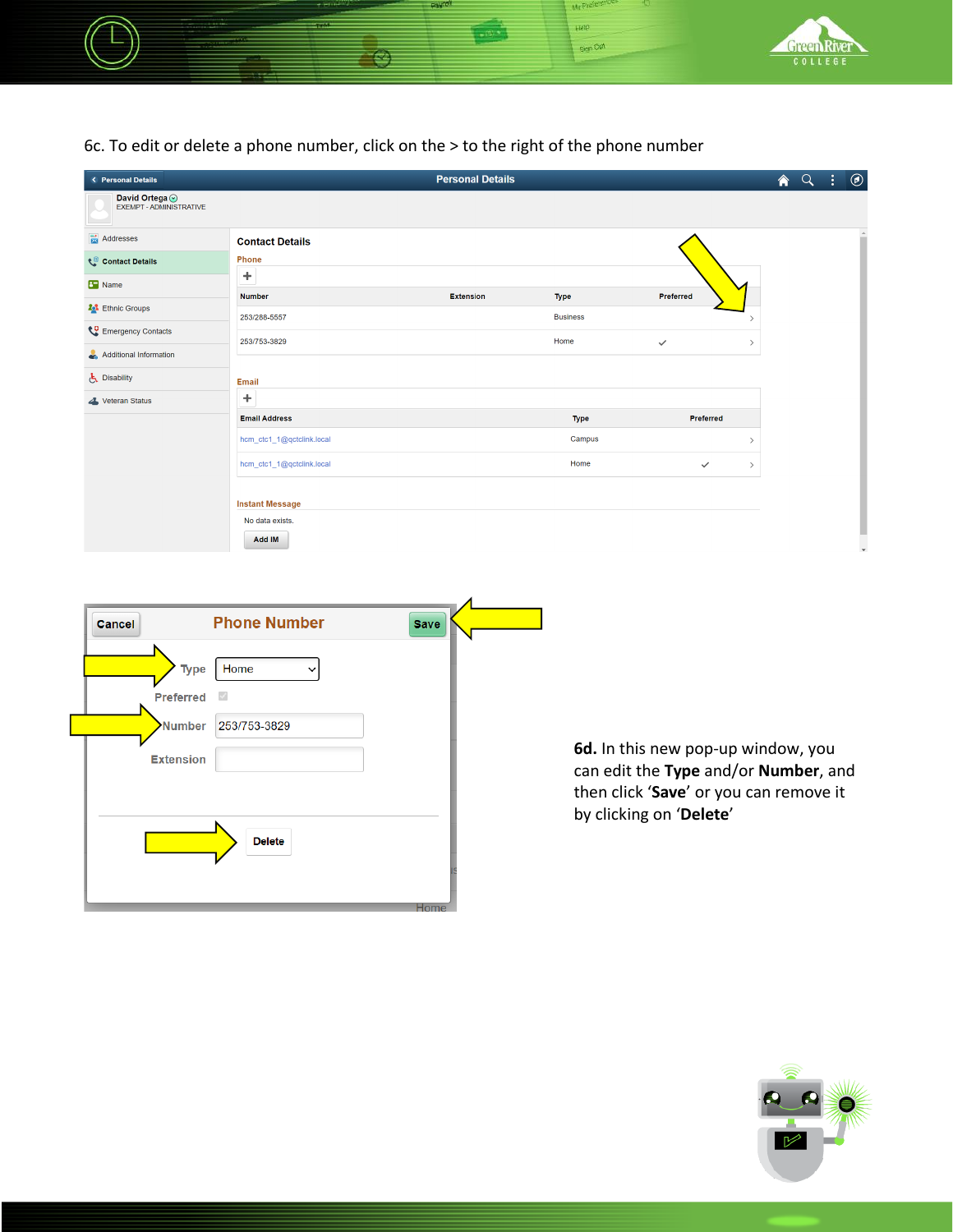

## 6c. To edit or delete a phone number, click on the > to the right of the phone number

| ← Personal Details                               |                           | <b>Personal Details</b> |                 |                               | 侖 | $\alpha$ | ÷ | $\circledcirc$ |
|--------------------------------------------------|---------------------------|-------------------------|-----------------|-------------------------------|---|----------|---|----------------|
| <b>David Ortega ⊙</b><br>EXEMPT - ADMINISTRATIVE |                           |                         |                 |                               |   |          |   |                |
| Addresses                                        | <b>Contact Details</b>    |                         |                 |                               |   |          |   |                |
| Contact Details                                  | Phone                     |                         |                 |                               |   |          |   |                |
| <b>B</b> Name                                    | ÷                         |                         |                 |                               |   |          |   |                |
| <b>23</b> Ethnic Groups                          | <b>Number</b>             | <b>Extension</b>        | Type            | Preferred                     |   |          |   |                |
|                                                  | 253/288-5557              |                         | <b>Business</b> | $\mathcal{L}_{\mathcal{L}}$   |   |          |   |                |
| Emergency Contacts                               | 253/753-3829              |                         | Home            | $\checkmark$<br>$\rightarrow$ |   |          |   |                |
| Additional Information                           |                           |                         |                 |                               |   |          |   |                |
| <b>と</b> Disability                              | <b>Email</b>              |                         |                 |                               |   |          |   |                |
| Veteran Status                                   | ÷                         |                         |                 |                               |   |          |   |                |
|                                                  | <b>Email Address</b>      |                         | <b>Type</b>     | Preferred                     |   |          |   |                |
|                                                  | hcm_ctc1_1@qctclink.local |                         | Campus          | $\mathcal{P}$                 |   |          |   |                |
|                                                  | hcm_ctc1_1@qctclink.local |                         | Home            | $\checkmark$<br>$\,$          |   |          |   |                |
|                                                  |                           |                         |                 |                               |   |          |   |                |
|                                                  | <b>Instant Message</b>    |                         |                 |                               |   |          |   |                |
|                                                  | No data exists.           |                         |                 |                               |   |          |   |                |
|                                                  | Add IM                    |                         |                 |                               |   |          |   |                |



**6d.** In this new pop-up window, you can edit the **Type** and/or **Number**, and then click '**Save**' or you can remove it by clicking on '**Delete**'

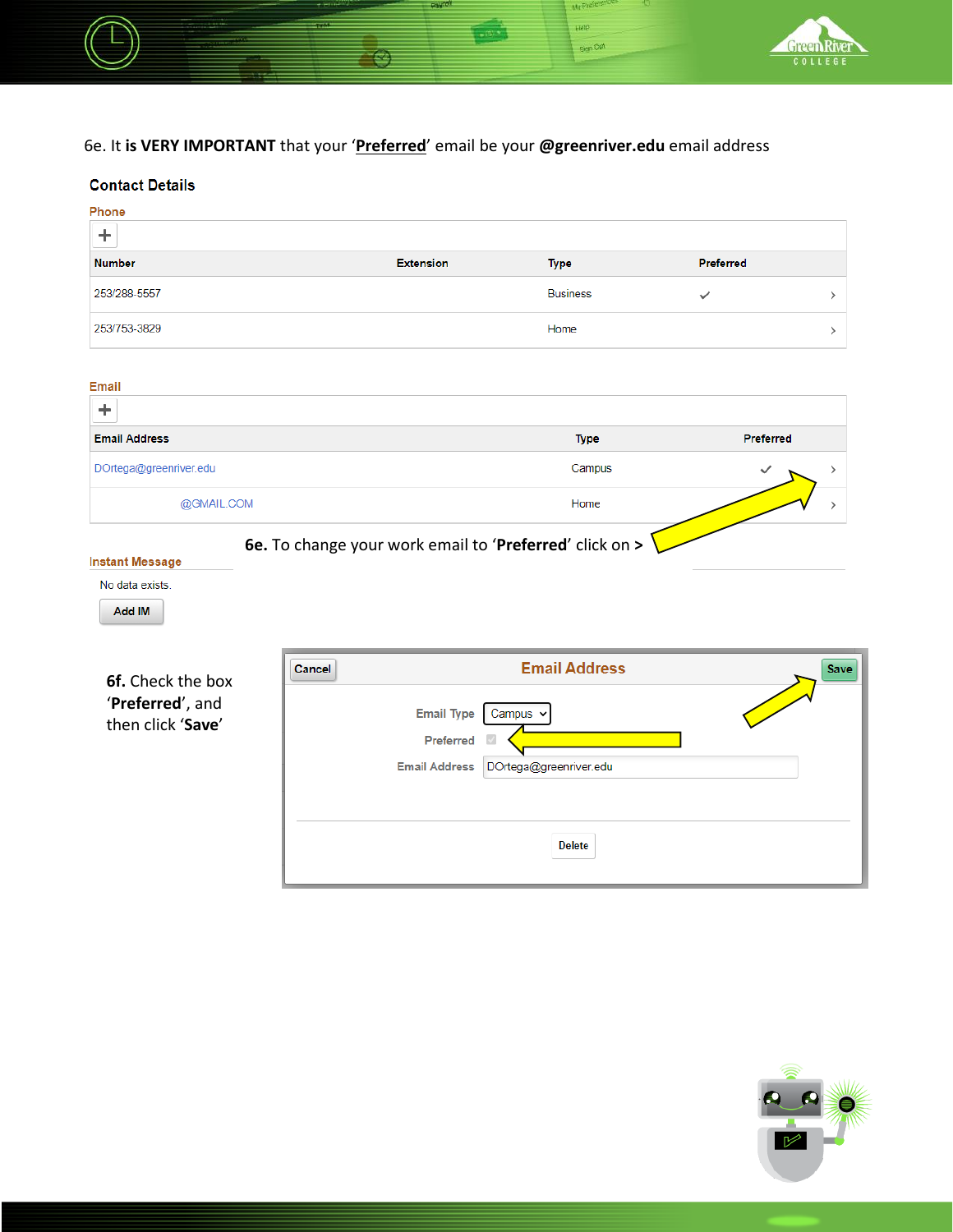

### **Contact Details**

| Phone<br>$\Delta \mathbf{L}$ |                  |                 |              |  |
|------------------------------|------------------|-----------------|--------------|--|
| <b>Number</b>                | <b>Extension</b> | Type            | Preferred    |  |
| 253/288-5557                 |                  | <b>Business</b> | $\checkmark$ |  |
| 253/753-3829                 |                  | Home            |              |  |

#### Email

| <b>Email Address</b>                                        | <b>Type</b> | <b>Preferred</b> |  |  |
|-------------------------------------------------------------|-------------|------------------|--|--|
| DOrtega@greenriver.edu                                      | Campus      | $\checkmark$     |  |  |
| @GMAIL.COM                                                  | Home        |                  |  |  |
| 6e. To change your work email to 'Preferred' click on $> 1$ |             |                  |  |  |

#### **Instant Message**

No data exists.

Add IM

**6f.** Check the box '**Preferred**', and then click '**Save**'

| <b>Cancel</b> |                                                        | <b>Email Address</b>                                            | <b>Save</b> |
|---------------|--------------------------------------------------------|-----------------------------------------------------------------|-------------|
|               | <b>Email Type</b><br>Preferred<br><b>Email Address</b> | Campus $\sim$<br>$\blacktriangledown$<br>DOrtega@greenriver.edu |             |
|               |                                                        | <b>Delete</b>                                                   |             |

de Pi Help. Sign Owl



COLLEG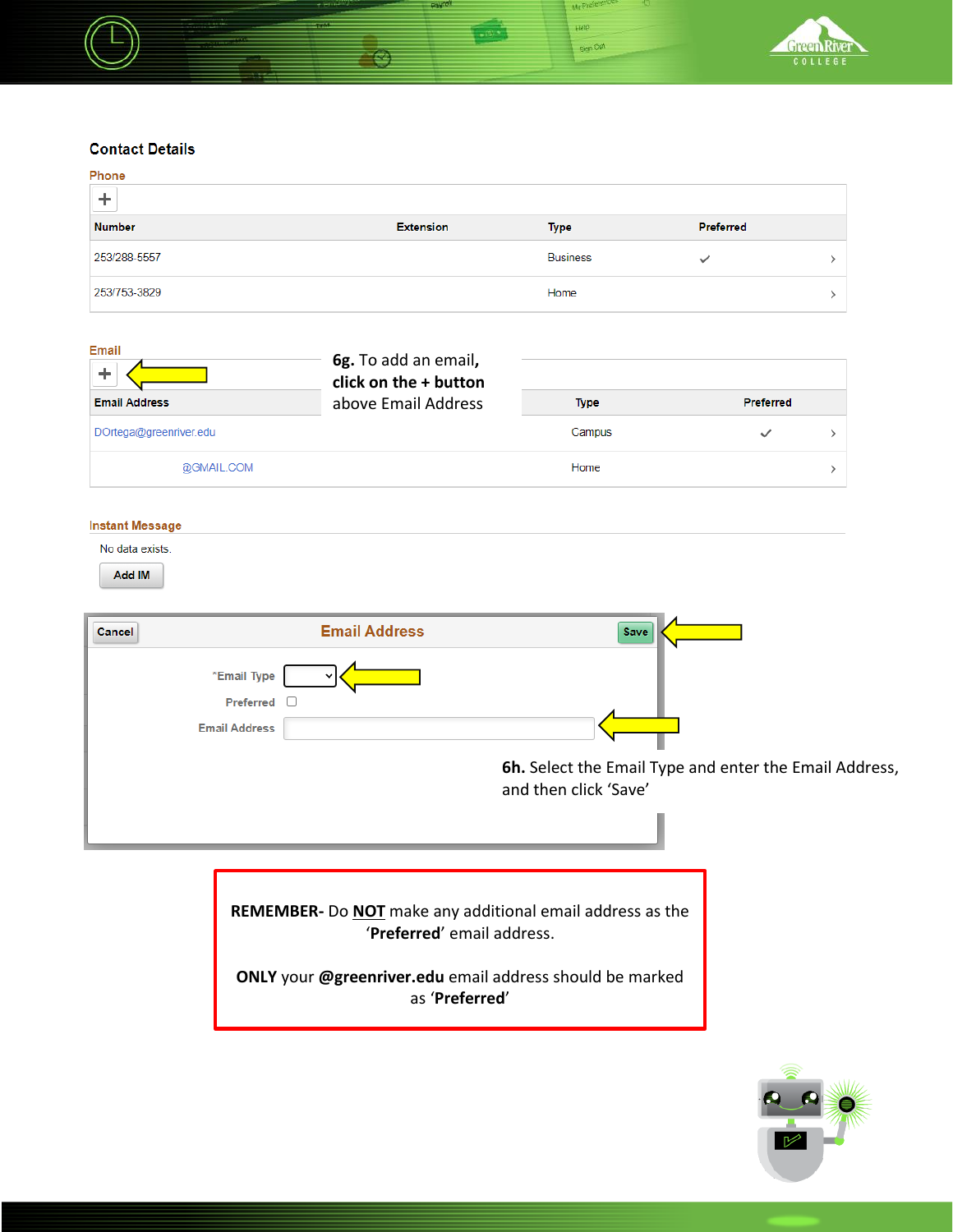

#### **Contact Details**

| Phone<br>$\ddot{}$ |                  |                 |              |  |
|--------------------|------------------|-----------------|--------------|--|
| <b>Number</b>      | <b>Extension</b> | <b>Type</b>     | Preferred    |  |
| 253/288-5557       |                  | <b>Business</b> | $\checkmark$ |  |
| 253/753-3829       |                  | Home            |              |  |

oto F Help. Sign Owl

| Email                  | 6g. To add an email,<br>click on the + button |             |                  |
|------------------------|-----------------------------------------------|-------------|------------------|
| <b>Email Address</b>   | above Email Address                           | <b>Type</b> | <b>Preferred</b> |
| DOrtega@greenriver.edu |                                               | Campus      | $\checkmark$     |
| @GMAIL.COM             |                                               | Home        |                  |

#### **Instant Message**

No data exists.

Add IM

| Cancel               | <b>Email Address</b> | Save                                                                            |
|----------------------|----------------------|---------------------------------------------------------------------------------|
| *Email Type          |                      |                                                                                 |
| Preferred $\Box$     |                      |                                                                                 |
| <b>Email Address</b> |                      |                                                                                 |
|                      |                      | 6h. Select the Email Type and enter the Email Address,<br>and then click 'Save' |
|                      |                      |                                                                                 |

**REMEMBER-** Do **NOT** make any additional email address as the '**Preferred**' email address.

**ONLY** your **@greenriver.edu** email address should be marked as '**Preferred**'

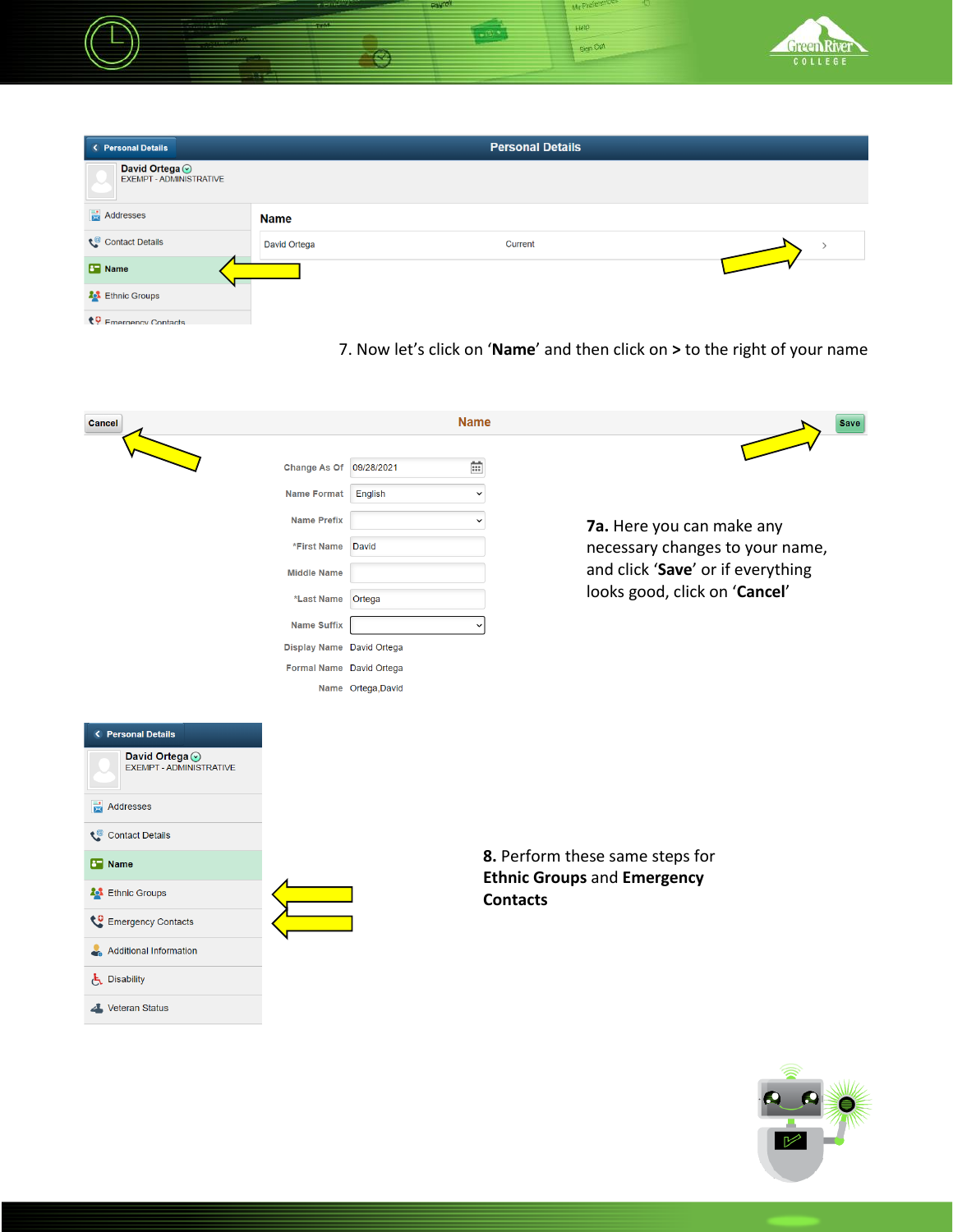

| < Personal Details                               |              | <b>Personal Details</b> |  |
|--------------------------------------------------|--------------|-------------------------|--|
| David Ortega ⊙<br><b>EXEMPT - ADMINISTRATIVE</b> |              |                         |  |
| $\frac{1}{\sqrt{2}}$ Addresses                   | <b>Name</b>  |                         |  |
| Contact Details                                  | David Ortega | Current                 |  |
| <b>B</b> Name                                    |              |                         |  |
| <b>20</b> Ethnic Groups                          |              |                         |  |
| ₹ <sup>9</sup> Emergency Contacts                |              |                         |  |

7. Now let's click on '**Name**' and then click on **>** to the right of your name



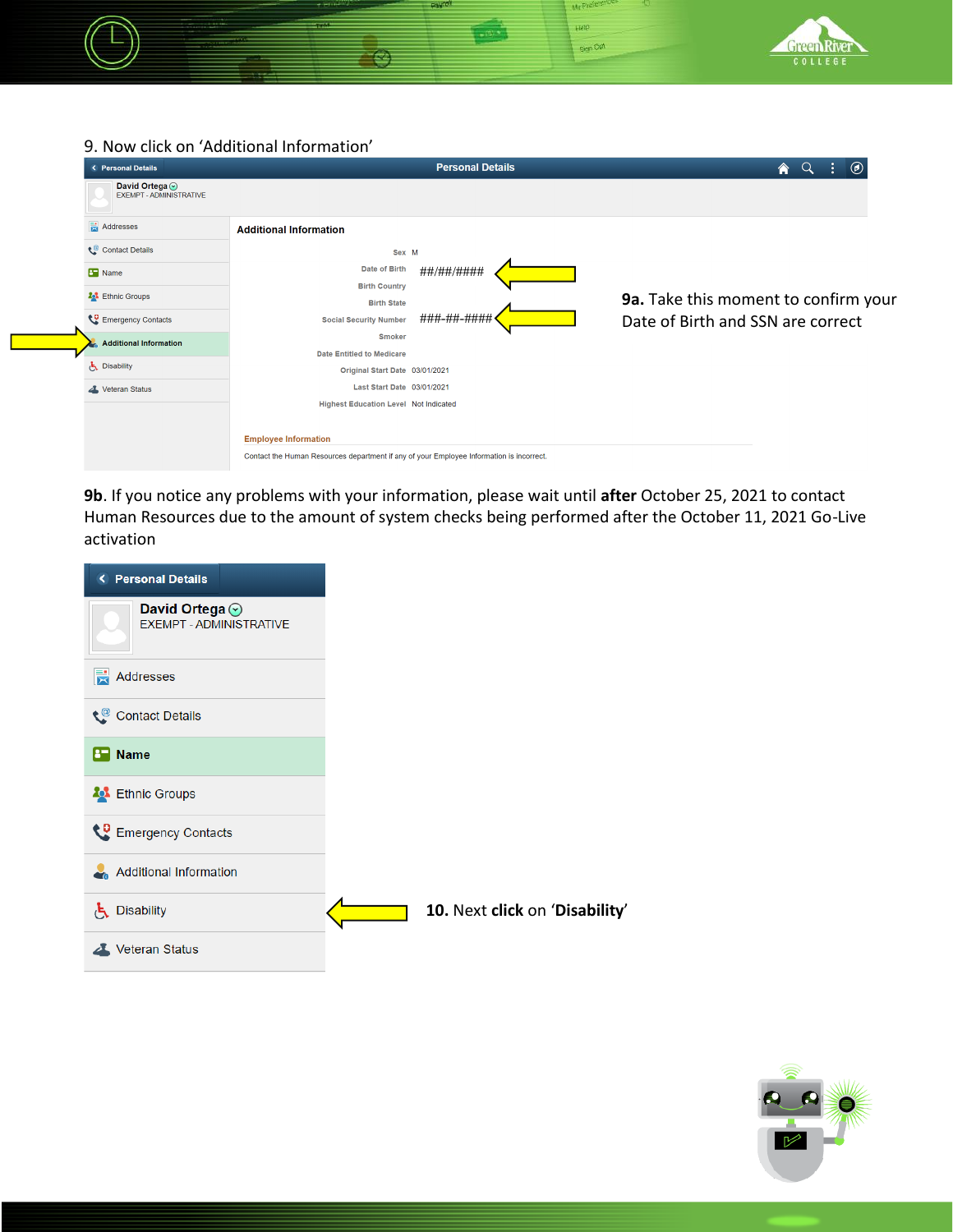

# 9. Now click on 'Additional Information'

| < Personal Details                               |                                                                                          | <b>Personal Details</b> | 侖<br>$(\mathfrak{o})$                |
|--------------------------------------------------|------------------------------------------------------------------------------------------|-------------------------|--------------------------------------|
| David Ortega ⊙<br><b>EXEMPT - ADMINISTRATIVE</b> |                                                                                          |                         |                                      |
| Addresses                                        | <b>Additional Information</b>                                                            |                         |                                      |
| Contact Details                                  | Sex M                                                                                    |                         |                                      |
| <b>B</b> Name                                    | Date of Birth                                                                            | ##/##/####              |                                      |
| <b>20</b> Ethnic Groups                          | <b>Birth Country</b><br><b>Birth State</b>                                               |                         | 9a. Take this moment to confirm your |
| Emergency Contacts                               | <b>Social Security Number</b>                                                            | ###-##-####             | Date of Birth and SSN are correct    |
| <b>Additional Information</b>                    | <b>Smoker</b>                                                                            |                         |                                      |
| <b>L</b> Disability                              | <b>Date Entitled to Medicare</b><br>Original Start Date 03/01/2021                       |                         |                                      |
| Veteran Status                                   | Last Start Date 03/01/2021                                                               |                         |                                      |
|                                                  | <b>Highest Education Level Not Indicated</b>                                             |                         |                                      |
|                                                  | <b>Employee Information</b>                                                              |                         |                                      |
|                                                  | Contact the Human Resources department if any of your Employee Information is incorrect. |                         |                                      |

**9b**. If you notice any problems with your information, please wait until **after** October 25, 2021 to contact Human Resources due to the amount of system checks being performed after the October 11, 2021 Go-Live activation



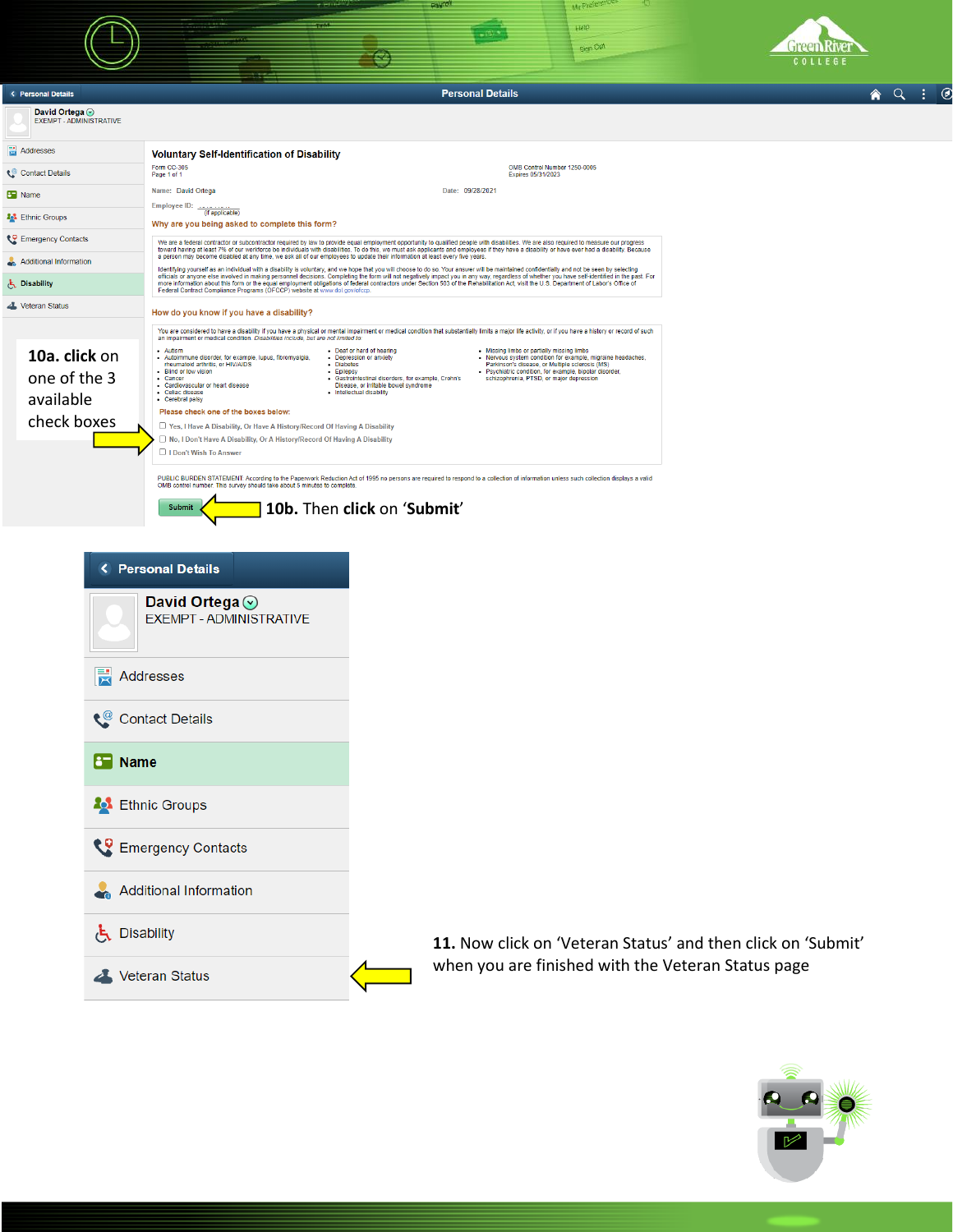